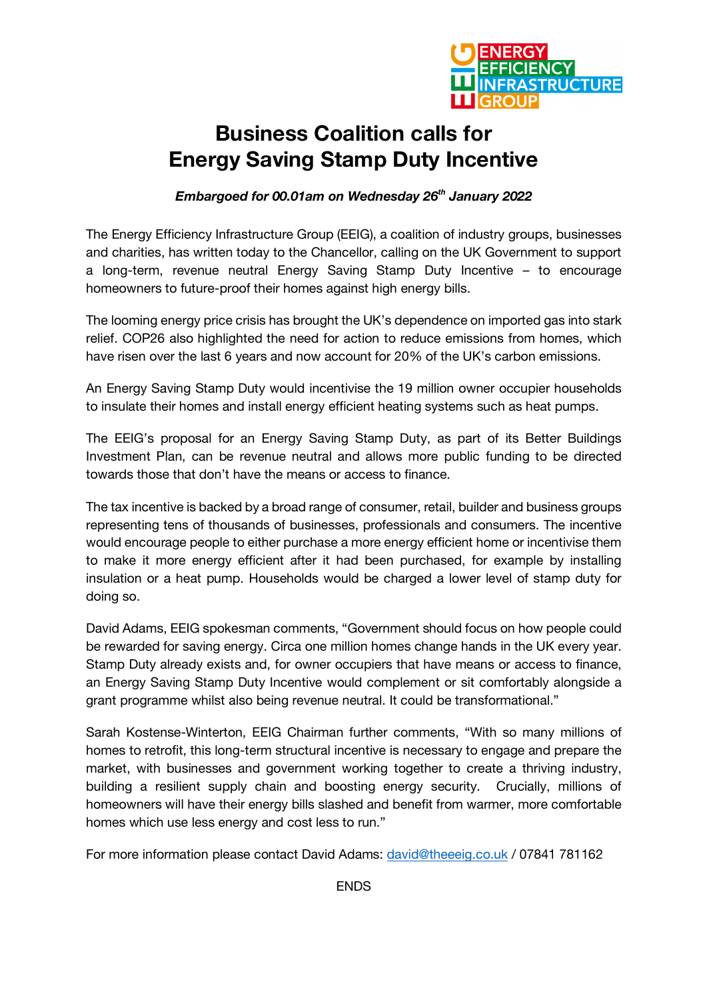

## **Business Coalition calls for Energy Saving Stamp Duty Incentive**

*Embargoed for 00.01am on Wednesday 26th January 2022*

The Energy Efficiency Infrastructure Group (EEIG), a coalition of industry groups, businesses and charities, has written today to the Chancellor, calling on the UK Government to support a long-term, revenue neutral Energy Saving Stamp Duty Incentive – to encourage homeowners to future-proof their homes against high energy bills.

The looming energy price crisis has brought the UK's dependence on imported gas into stark relief. COP26 also highlighted the need for action to reduce emissions from homes, which have risen over the last 6 years and now account for 20% of the UK's carbon emissions.

An Energy Saving Stamp Duty would incentivise the 19 million owner occupier households to insulate their homes and install energy efficient heating systems such as heat pumps.

The EEIG's proposal for an Energy Saving Stamp Duty, as part of its Better Buildings Investment Plan, can be revenue neutral and allows more public funding to be directed towards those that don't have the means or access to finance.

The tax incentive is backed by a broad range of consumer, retail, builder and business groups representing tens of thousands of businesses, professionals and consumers. The incentive would encourage people to either purchase a more energy efficient home or incentivise them to make it more energy efficient after it had been purchased, for example by installing insulation or a heat pump. Households would be charged a lower level of stamp duty for doing so.

David Adams, EEIG spokesman comments, "Government should focus on how people could be rewarded for saving energy. Circa one million homes change hands in the UK every year. Stamp Duty already exists and, for owner occupiers that have means or access to finance, an Energy Saving Stamp Duty Incentive would complement or sit comfortably alongside a grant programme whilst also being revenue neutral. It could be transformational."

Sarah Kostense-Winterton, EEIG Chairman further comments, "With so many millions of homes to retrofit, this long-term structural incentive is necessary to engage and prepare the market, with businesses and government working together to create a thriving industry, building a resilient supply chain and boosting energy security. Crucially, millions of homeowners will have their energy bills slashed and benefit from warmer, more comfortable homes which use less energy and cost less to run."

For more information please contact David Adams: david@theeeig.co.uk / 07841 781162